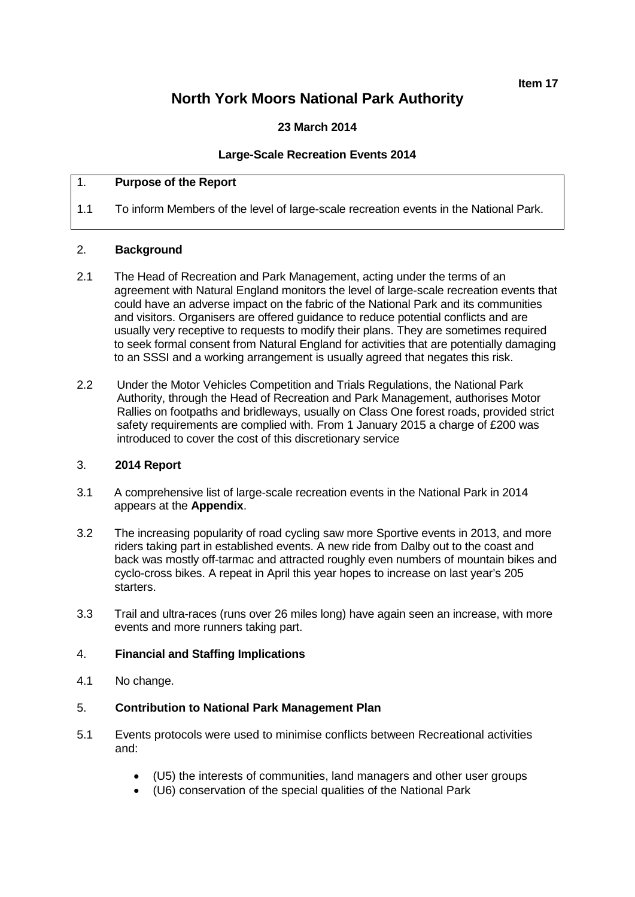**Item 17**

# **North York Moors National Park Authority**

**23 March 2014**

## **Large-Scale Recreation Events 2014**

#### 1. **Purpose of the Report**

1.1 To inform Members of the level of large-scale recreation events in the National Park.

#### 2. **Background**

- 2.1 The Head of Recreation and Park Management, acting under the terms of an agreement with Natural England monitors the level of large-scale recreation events that could have an adverse impact on the fabric of the National Park and its communities and visitors. Organisers are offered guidance to reduce potential conflicts and are usually very receptive to requests to modify their plans. They are sometimes required to seek formal consent from Natural England for activities that are potentially damaging to an SSSI and a working arrangement is usually agreed that negates this risk.
- 2.2 Under the Motor Vehicles Competition and Trials Regulations, the National Park Authority, through the Head of Recreation and Park Management, authorises Motor Rallies on footpaths and bridleways, usually on Class One forest roads, provided strict safety requirements are complied with. From 1 January 2015 a charge of £200 was introduced to cover the cost of this discretionary service

# 3. **2014 Report**

- 3.1 A comprehensive list of large-scale recreation events in the National Park in 2014 appears at the **Appendix**.
- 3.2 The increasing popularity of road cycling saw more Sportive events in 2013, and more riders taking part in established events. A new ride from Dalby out to the coast and back was mostly off-tarmac and attracted roughly even numbers of mountain bikes and cyclo-cross bikes. A repeat in April this year hopes to increase on last year's 205 starters.
- 3.3 Trail and ultra-races (runs over 26 miles long) have again seen an increase, with more events and more runners taking part.

#### 4. **Financial and Staffing Implications**

4.1 No change.

#### 5. **Contribution to National Park Management Plan**

- 5.1 Events protocols were used to minimise conflicts between Recreational activities and:
	- (U5) the interests of communities, land managers and other user groups
	- (U6) conservation of the special qualities of the National Park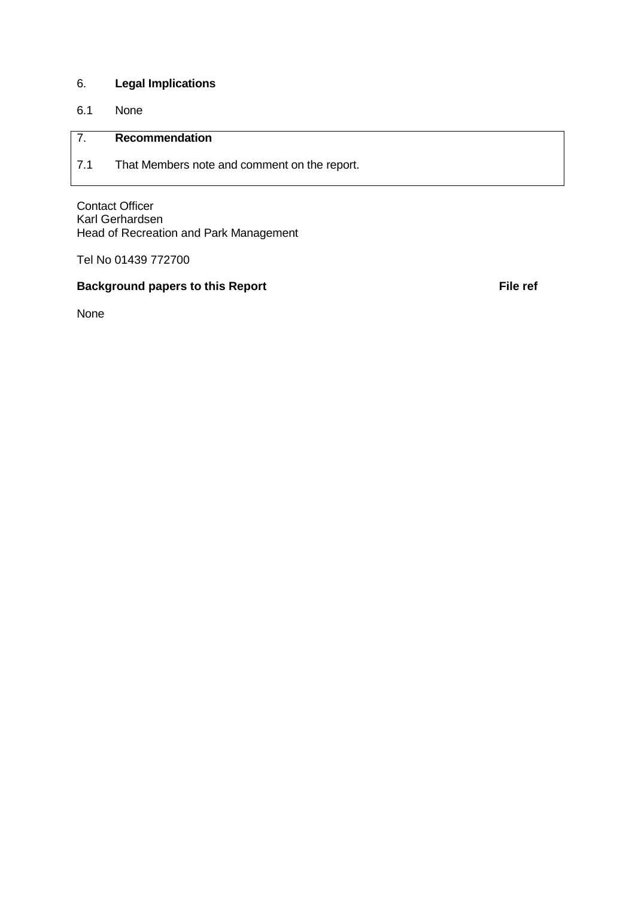# 6. **Legal Implications**

6.1 None

# 7. **Recommendation**

7.1 That Members note and comment on the report.

Contact Officer Karl Gerhardsen Head of Recreation and Park Management

Tel No 01439 772700

## **Background papers to this Report File ref File ref**

None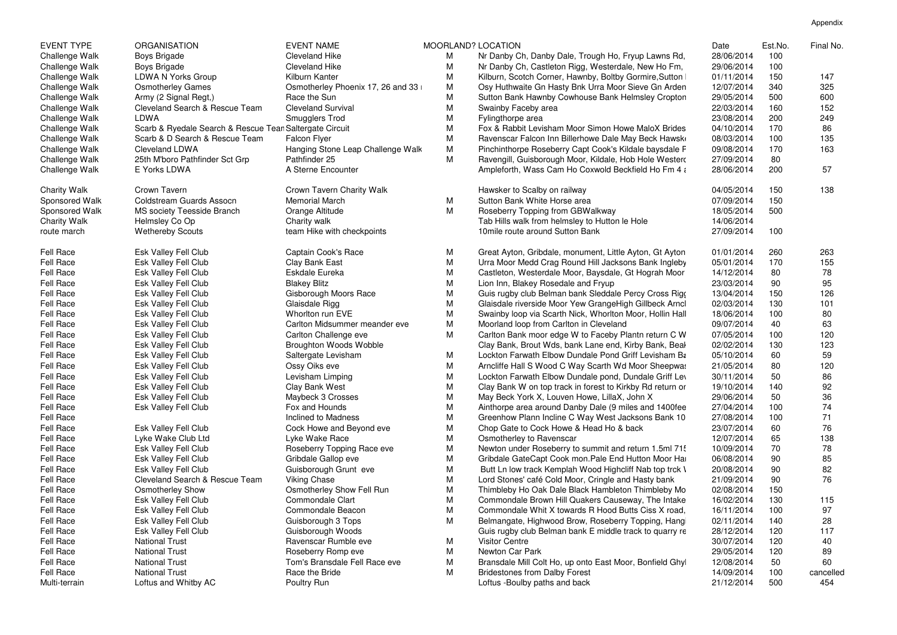|                     | M | Nr Danby Ch, Danby Dale, Trough Ho, Fryup Lawns Rd,       | 28/06/2014 | 100 |          |
|---------------------|---|-----------------------------------------------------------|------------|-----|----------|
|                     | M | Nr Danby Ch, Castleton Rigg, Westerdale, New Ho Fm,       | 29/06/2014 | 100 |          |
|                     | M | Kilburn, Scotch Corner, Hawnby, Boltby Gormire, Sutton    | 01/11/2014 | 150 | 147      |
| nix 17, 26 and 33 i | M | Osy Huthwaite Gn Hasty Bnk Urra Moor Sieve Gn Arden       | 12/07/2014 | 340 | 325      |
|                     | M | Sutton Bank Hawnby Cowhouse Bank Helmsley Cropton         | 29/05/2014 | 500 | 600      |
|                     | M | Swainby Faceby area                                       | 22/03/2014 | 160 | 152      |
|                     | M | Fylingthorpe area                                         | 23/08/2014 | 200 | 249      |
|                     | M | Fox & Rabbit Levisham Moor Simon Howe MaloX Brides        | 04/10/2014 | 170 | 86       |
|                     | M | Ravenscar Falcon Inn Billerhowe Dale May Beck Hawsk       | 08/03/2014 | 100 | 135      |
| p Challenge Walk    | M | Pinchinthorpe Roseberry Capt Cook's Kildale baysdale F    | 09/08/2014 | 170 | 163      |
|                     | M | Ravengill, Guisborough Moor, Kildale, Hob Hole Westerd    | 27/09/2014 | 80  |          |
|                     |   | Ampleforth, Wass Cam Ho Coxwold Beckfield Ho Fm 4 a       | 28/06/2014 | 200 | 57       |
| rity Walk           |   | Hawsker to Scalby on railway                              | 04/05/2014 | 150 | 138      |
|                     | M | Sutton Bank White Horse area                              | 07/09/2014 | 150 |          |
|                     | M | Roseberry Topping from GBWalkway                          | 18/05/2014 | 500 |          |
|                     |   | Tab Hills walk from helmsley to Hutton le Hole            | 14/06/2014 |     |          |
| ckpoints            |   | 10 mile route around Sutton Bank                          | 27/09/2014 | 100 |          |
| ce                  | M | Great Ayton, Gribdale, monument, Little Ayton, Gt Ayton   | 01/01/2014 | 260 | 263      |
|                     | M | Urra Moor Medd Crag Round Hill Jacksons Bank Ingleby      | 05/01/2014 | 170 | 155      |
|                     | M | Castleton, Westerdale Moor, Baysdale, Gt Hograh Moor      | 14/12/2014 | 80  | 78       |
|                     | M | Lion Inn, Blakey Rosedale and Fryup                       | 23/03/2014 | 90  | 95       |
| Race                | M | Guis rugby club Belman bank Sleddale Percy Cross Rigo     | 13/04/2014 | 150 | 126      |
|                     | M | Glaisdale riverside Moor Yew GrangeHigh Gillbeck Arncl    | 02/03/2014 | 130 | 101      |
|                     | M | Swainby loop via Scarth Nick, Whorlton Moor, Hollin Hall  | 18/06/2014 | 100 | 80       |
| r meander eve       | M | Moorland loop from Carlton in Cleveland                   | 09/07/2014 | 40  | 63       |
| eve                 | M | Carlton Bank moor edge W to Faceby Plantn return C W      | 07/05/2014 | 100 | 120      |
| Wobble              |   | Clay Bank, Brout Wds, bank Lane end, Kirby Bank, Beal     | 02/02/2014 | 130 | 123      |
| m                   | M | Lockton Farwath Elbow Dundale Pond Griff Levisham Ba      | 05/10/2014 | 60  | 59       |
|                     | M | Arncliffe Hall S Wood C Way Scarth Wd Moor Sheepwas       | 21/05/2014 | 80  | 120      |
|                     | M | Lockton Farwath Elbow Dundale pond, Dundale Griff Lev     | 30/11/2014 | 50  | 86       |
|                     | M | Clay Bank W on top track in forest to Kirkby Rd return or | 19/10/2014 | 140 | 92       |
|                     | M | May Beck York X, Louven Howe, LillaX, John X              | 29/06/2014 | 50  | 36       |
|                     | M | Ainthorpe area around Danby Dale (9 miles and 1400fee     | 27/04/2014 | 100 | 74       |
| s                   | M | Greenhow Plann Incline C Way West Jacksons Bank 10        | 27/08/2014 | 100 | 71       |
| yond eve            | M | Chop Gate to Cock Howe & Head Ho & back                   | 23/07/2014 | 60  | 76       |
|                     | M | Osmotherley to Ravenscar                                  | 12/07/2014 | 65  | 138      |
| Race eve            | M | Newton under Roseberry to summit and return 1.5ml 715     | 10/09/2014 | 70  | 78       |
|                     | M | Gribdale GateCapt Cook mon. Pale End Hutton Moor Har      | 06/08/2014 | 90  | 85       |
| : eve               | M | Butt Ln low track Kemplah Wood Highcliff Nab top trck \   | 20/08/2014 | 90  | 82       |
|                     | M | Lord Stones' café Cold Moor, Cringle and Hasty bank       | 21/09/2014 | 90  | 76       |
| Fell Run            | M | Thimbleby Ho Oak Dale Black Hambleton Thimbleby Mo        | 02/08/2014 | 150 |          |
|                     | M | Commondale Brown Hill Quakers Causeway, The Intake        | 16/02/2014 | 130 | 115      |
| ٥n                  | M | Commondale Whit X towards R Hood Butts Ciss X road,       | 16/11/2014 | 100 | 97       |
| )S                  | M | Belmangate, Highwood Brow, Roseberry Topping, Hang        | 02/11/2014 | 140 | 28       |
| ds                  |   | Guis rugby club Belman bank E middle track to quarry re   | 28/12/2014 | 120 | 117      |
| eve                 | M | <b>Visitor Centre</b>                                     | 30/07/2014 | 120 | 40       |
| ve                  | M | Newton Car Park                                           | 29/05/2014 | 120 | 89       |
| ell Race eve        | M | Bransdale Mill Colt Ho, up onto East Moor, Bonfield Ghyl  | 12/08/2014 | 50  | 60       |
|                     | M | <b>Bridestones from Dalby Forest</b>                      | 14/09/2014 | 100 | cancelle |
|                     |   |                                                           |            |     |          |

| <b>Dale, Trough Ho, Fryup Lawns Rd,</b> | Date<br>28/06/2014 | Est.No.<br>100 | Final No. |
|-----------------------------------------|--------------------|----------------|-----------|
| ton Rigg, Westerdale, New Ho Fm,        | 29/06/2014         | 100            |           |
| ler, Hawnby, Boltby Gormire, Sutton I   | 01/11/2014         | 150            | 147       |
| asty Bnk Urra Moor Sieve Gn Arden       | 12/07/2014         | 340            | 325       |
| Gowhouse Bank Helmsley Cropton          | 29/05/2014         | 500            | 600       |
| а                                       | 22/03/2014         | 160            | 152       |
|                                         | 23/08/2014         | 200            | 249       |
| am Moor Simon Howe MaloX Brides         | 04/10/2014         | 170            | 86        |
| In Billerhowe Dale May Beck Hawsk       | 08/03/2014         | 100            | 135       |
| verry Capt Cook's Kildale baysdale F    | 09/08/2014         | 170            | 163       |
| igh Moor, Kildale, Hob Hole Westerc     | 27/09/2014         | 80             |           |
| am Ho Coxwold Beckfield Ho Fm 4 a       | 28/06/2014         | 200            | 57        |
| n railway                               | 04/05/2014         | 150            | 138       |
| <del>l</del> orse area                  | 07/09/2014         | 150            |           |
| rom GBWalkway                           | 18/05/2014         | 500            |           |
| elmsley to Hutton le Hole               | 14/06/2014         |                |           |
| <b>Sutton Bank</b>                      | 27/09/2014         | 100            |           |
| le, monument, Little Ayton, Gt Ayton    | 01/01/2014         | 260            | 263       |
| g Round Hill Jacksons Bank Ingleby      | 05/01/2014         | 170            | 155       |
| le Moor, Baysdale, Gt Hograh Moor       | 14/12/2014         | 80             | 78        |
| edale and Fryup                         | 23/03/2014         | 90             | 95        |
| nan bank Sleddale Percy Cross Rigo      | 13/04/2014         | 150            | 126       |
| loor Yew GrangeHigh Gillbeck Arncl      | 02/03/2014         | 130            | 101       |
| arth Nick, Whorlton Moor, Hollin Hall   | 18/06/2014         | 100            | 80        |
| <b>Carlton in Cleveland</b>             | 09/07/2014         | 40             | 63        |
| dge W to Faceby Plantn return C W       | 07/05/2014         | 100            | 120       |
| ds, bank Lane end, Kirby Bank, Beal     | 02/02/2014         | 130            | 123       |
| ow Dundale Pond Griff Levisham Ba       | 05/10/2014         | 60             | 59        |
| d C Way Scarth Wd Moor Sheepwas         | 21/05/2014         | 80             | 120       |
| ow Dundale pond, Dundale Griff Lev      | 30/11/2014         | 50             | 86        |
| track in forest to Kirkby Rd return or  | 19/10/2014         | 140            | 92        |
| ouven Howe, LillaX, John X              | 29/06/2014         | 50             | 36        |
| nd Danby Dale (9 miles and 1400fee      | 27/04/2014         | 100            | 74        |
| line C Way West Jacksons Bank 10        | 27/08/2014         | 100            | 71        |
| Howe & Head Ho & back                   | 23/07/2014         | 60             | 76        |
| enscar                                  | 12/07/2014         | 65             | 138       |
| berry to summit and return 1.5ml 71!    | 10/09/2014         | 70             | 78        |
| Cook mon.Pale End Hutton Moor Har       | 06/08/2014         | 90             | 85        |
| mplah Wood Highcliff Nab top trck \     | 20/08/2014         | 90             | 82        |
| old Moor, Cringle and Hasty bank        | 21/09/2014         | 90             | 76        |
| ale Black Hambleton Thimbleby Mo        | 02/08/2014         | 150            |           |
| Hill Quakers Causeway, The Intake       | 16/02/2014         | 130            | 115       |
| towards R Hood Butts Ciss X road,       | 16/11/2014         | 100            | 97        |
|                                         |                    |                |           |
| od Brow, Roseberry Topping, Hangi       | 02/11/2014         | 140            | 28        |
| nan bank E middle track to quarry re    | 28/12/2014         | 120            | 117       |
|                                         | 30/07/2014         | 120            | 40        |
|                                         | 29/05/2014         | 120            | 89        |
| lo, up onto East Moor, Bonfield Ghyl    | 12/08/2014         | 50             | 60        |
| <b>Iby Forest</b>                       | 14/09/2014         | 100            | cancelled |
| and back                                | 21/12/2014         | 500            | 454       |

| <b>EVENT TYPE</b>   | <b>ORGANISATION</b>                                     | <b>EVENT NAME</b>                   | <b>MOORLAND? LOCATION</b> |                                                           | Date       | Est.No. | Final No  |
|---------------------|---------------------------------------------------------|-------------------------------------|---------------------------|-----------------------------------------------------------|------------|---------|-----------|
| Challenge Walk      | Boys Brigade                                            | <b>Cleveland Hike</b>               | M                         | Nr Danby Ch, Danby Dale, Trough Ho, Fryup Lawns Rd,       | 28/06/2014 | 100     |           |
| Challenge Walk      | Boys Brigade                                            | <b>Cleveland Hike</b>               | M                         | Nr Danby Ch, Castleton Rigg, Westerdale, New Ho Fm,       | 29/06/2014 | 100     |           |
| Challenge Walk      | LDWA N Yorks Group                                      | Kilburn Kanter                      | M                         | Kilburn, Scotch Corner, Hawnby, Boltby Gormire, Sutton    | 01/11/2014 | 150     | 147       |
| Challenge Walk      | <b>Osmotherley Games</b>                                | Osmotherley Phoenix 17, 26 and 33 i | M                         | Osy Huthwaite Gn Hasty Bnk Urra Moor Sieve Gn Arden       | 12/07/2014 | 340     | 325       |
| Challenge Walk      | Army (2 Signal Regt,)                                   | Race the Sun                        | M                         | Sutton Bank Hawnby Cowhouse Bank Helmsley Cropton         | 29/05/2014 | 500     | 600       |
| Challenge Walk      | Cleveland Search & Rescue Team                          | <b>Cleveland Survival</b>           | M                         | Swainby Faceby area                                       | 22/03/2014 | 160     | 152       |
| Challenge Walk      | <b>LDWA</b>                                             | <b>Smugglers Trod</b>               | M                         | Fylingthorpe area                                         | 23/08/2014 | 200     | 249       |
| Challenge Walk      | Scarb & Ryedale Search & Rescue Tean Saltergate Circuit |                                     | M                         | Fox & Rabbit Levisham Moor Simon Howe MaloX Brides        | 04/10/2014 | 170     | 86        |
| Challenge Walk      | Scarb & D Search & Rescue Team                          | <b>Falcon Flyer</b>                 | M                         | Ravenscar Falcon Inn Billerhowe Dale May Beck Hawske      | 08/03/2014 | 100     | 135       |
| Challenge Walk      | <b>Cleveland LDWA</b>                                   | Hanging Stone Leap Challenge Walk   | M                         | Pinchinthorpe Roseberry Capt Cook's Kildale baysdale F    | 09/08/2014 | 170     | 163       |
| Challenge Walk      | 25th M'boro Pathfinder Sct Grp                          | Pathfinder 25                       | M                         | Ravengill, Guisborough Moor, Kildale, Hob Hole Westerd    | 27/09/2014 | 80      |           |
| Challenge Walk      | E Yorks LDWA                                            | A Sterne Encounter                  |                           | Ampleforth, Wass Cam Ho Coxwold Beckfield Ho Fm 4 a       | 28/06/2014 | 200     | 57        |
| <b>Charity Walk</b> | Crown Tavern                                            | Crown Tavern Charity Walk           |                           | Hawsker to Scalby on railway                              | 04/05/2014 | 150     | 138       |
| Sponsored Walk      | <b>Coldstream Guards Assocn</b>                         | <b>Memorial March</b>               | M                         | Sutton Bank White Horse area                              | 07/09/2014 | 150     |           |
| Sponsored Walk      | <b>MS society Teesside Branch</b>                       |                                     | M                         | Roseberry Topping from GBWalkway                          | 18/05/2014 | 500     |           |
|                     |                                                         | Orange Altitude                     |                           |                                                           |            |         |           |
| <b>Charity Walk</b> | Helmsley Co Op                                          | Charity walk                        |                           | Tab Hills walk from helmsley to Hutton le Hole            | 14/06/2014 |         |           |
| route march         | <b>Wethereby Scouts</b>                                 | team Hike with checkpoints          |                           | 10 mile route around Sutton Bank                          | 27/09/2014 | 100     |           |
| Fell Race           | Esk Valley Fell Club                                    | <b>Captain Cook's Race</b>          | M                         | Great Ayton, Gribdale, monument, Little Ayton, Gt Ayton   | 01/01/2014 | 260     | 263       |
| Fell Race           | Esk Valley Fell Club                                    | Clay Bank East                      | M                         | Urra Moor Medd Crag Round Hill Jacksons Bank Ingleby      | 05/01/2014 | 170     | 155       |
| Fell Race           | <b>Esk Valley Fell Club</b>                             | Eskdale Eureka                      | M                         | Castleton, Westerdale Moor, Baysdale, Gt Hograh Moor      | 14/12/2014 | 80      | 78        |
| Fell Race           | <b>Esk Valley Fell Club</b>                             | <b>Blakey Blitz</b>                 | M                         | Lion Inn, Blakey Rosedale and Fryup                       | 23/03/2014 | 90      | 95        |
| Fell Race           | <b>Esk Valley Fell Club</b>                             | Gisborough Moors Race               | M                         | Guis rugby club Belman bank Sleddale Percy Cross Rigo     | 13/04/2014 | 150     | 126       |
| Fell Race           | Esk Valley Fell Club                                    | Glaisdale Rigg                      | M                         | Glaisdale riverside Moor Yew GrangeHigh Gillbeck Arncl    | 02/03/2014 | 130     | 101       |
| Fell Race           | Esk Valley Fell Club                                    | Whorlton run EVE                    | M                         | Swainby loop via Scarth Nick, Whorlton Moor, Hollin Hall  | 18/06/2014 | 100     | 80        |
| Fell Race           | <b>Esk Valley Fell Club</b>                             | Carlton Midsummer meander eve       | M                         | Moorland loop from Carlton in Cleveland                   | 09/07/2014 | 40      | 63        |
| Fell Race           | Esk Valley Fell Club                                    | Carlton Challenge eve               | M                         | Carlton Bank moor edge W to Faceby Plantn return C W      | 07/05/2014 | 100     | 120       |
| Fell Race           | Esk Valley Fell Club                                    | <b>Broughton Woods Wobble</b>       |                           | Clay Bank, Brout Wds, bank Lane end, Kirby Bank, Beal     | 02/02/2014 | 130     | 123       |
| Fell Race           | <b>Esk Valley Fell Club</b>                             | Saltergate Levisham                 | M                         | Lockton Farwath Elbow Dundale Pond Griff Levisham Ba      | 05/10/2014 | 60      | 59        |
| Fell Race           | <b>Esk Valley Fell Club</b>                             | Ossy Oiks eve                       | M                         | Arncliffe Hall S Wood C Way Scarth Wd Moor Sheepwas       | 21/05/2014 | 80      | 120       |
|                     |                                                         |                                     | M                         |                                                           |            | 50      |           |
| Fell Race           | Esk Valley Fell Club                                    | Levisham Limping                    |                           | Lockton Farwath Elbow Dundale pond, Dundale Griff Lev     | 30/11/2014 |         | 86        |
| Fell Race           | <b>Esk Valley Fell Club</b>                             | Clay Bank West                      | M                         | Clay Bank W on top track in forest to Kirkby Rd return or | 19/10/2014 | 140     | 92        |
| <b>Fell Race</b>    | <b>Esk Valley Fell Club</b>                             | Maybeck 3 Crosses                   | M                         | May Beck York X, Louven Howe, LillaX, John X              | 29/06/2014 | 50      | 36        |
| Fell Race           | <b>Esk Valley Fell Club</b>                             | Fox and Hounds                      | M                         | Ainthorpe area around Danby Dale (9 miles and 1400fee     | 27/04/2014 | 100     | 74        |
| Fell Race           |                                                         | Inclined to Madness                 | M                         | Greenhow Plann Incline C Way West Jacksons Bank 10        | 27/08/2014 | 100     | 71        |
| Fell Race           | <b>Esk Valley Fell Club</b>                             | Cock Howe and Beyond eve            | M                         | Chop Gate to Cock Howe & Head Ho & back                   | 23/07/2014 | 60      | 76        |
| Fell Race           | Lyke Wake Club Ltd                                      | Lyke Wake Race                      | M                         | Osmotherley to Ravenscar                                  | 12/07/2014 | 65      | 138       |
| Fell Race           | <b>Esk Valley Fell Club</b>                             | Roseberry Topping Race eve          | M                         | Newton under Roseberry to summit and return 1.5ml 715     | 10/09/2014 | 70      | 78        |
| Fell Race           | <b>Esk Valley Fell Club</b>                             | Gribdale Gallop eve                 | M                         | Gribdale GateCapt Cook mon. Pale End Hutton Moor Har      | 06/08/2014 | 90      | 85        |
| Fell Race           | <b>Esk Valley Fell Club</b>                             | Guisborough Grunt eve               | M                         | Butt Ln low track Kemplah Wood Highcliff Nab top trck \   | 20/08/2014 | 90      | 82        |
| Fell Race           | <b>Cleveland Search &amp; Rescue Team</b>               | <b>Viking Chase</b>                 | M                         | Lord Stones' café Cold Moor, Cringle and Hasty bank       | 21/09/2014 | 90      | 76        |
| Fell Race           | <b>Osmotherley Show</b>                                 | Osmotherley Show Fell Run           | M                         | Thimbleby Ho Oak Dale Black Hambleton Thimbleby Mo        | 02/08/2014 | 150     |           |
| Fell Race           | Esk Valley Fell Club                                    | <b>Commondale Clart</b>             | M                         | Commondale Brown Hill Quakers Causeway, The Intake        | 16/02/2014 | 130     | 115       |
| Fell Race           | Esk Valley Fell Club                                    | Commondale Beacon                   | M                         | Commondale Whit X towards R Hood Butts Ciss X road,       | 16/11/2014 | 100     | 97        |
| Fell Race           | <b>Esk Valley Fell Club</b>                             | Guisborough 3 Tops                  | M                         | Belmangate, Highwood Brow, Roseberry Topping, Hang        | 02/11/2014 | 140     | 28        |
| Fell Race           | <b>Esk Valley Fell Club</b>                             | Guisborough Woods                   |                           | Guis rugby club Belman bank E middle track to quarry re   | 28/12/2014 | 120     | 117       |
| Fell Race           | <b>National Trust</b>                                   | Ravenscar Rumble eve                | M                         | <b>Visitor Centre</b>                                     | 30/07/2014 | 120     | 40        |
| Fell Race           | <b>National Trust</b>                                   | Roseberry Romp eve                  | M                         | Newton Car Park                                           | 29/05/2014 | 120     | 89        |
| Fell Race           | <b>National Trust</b>                                   | Tom's Bransdale Fell Race eve       | M                         | Bransdale Mill Colt Ho, up onto East Moor, Bonfield Ghyl  | 12/08/2014 | 50      | 60        |
| Fell Race           | <b>National Trust</b>                                   | Race the Bride                      | M                         | <b>Bridestones from Dalby Forest</b>                      | 14/09/2014 | 100     | cancelled |
| Multi-terrain       | Loftus and Whitby AC                                    | Poultry Run                         |                           | Loftus - Boulby paths and back                            | 21/12/2014 | 500     | 454       |
|                     |                                                         |                                     |                           |                                                           |            |         |           |

## Appendix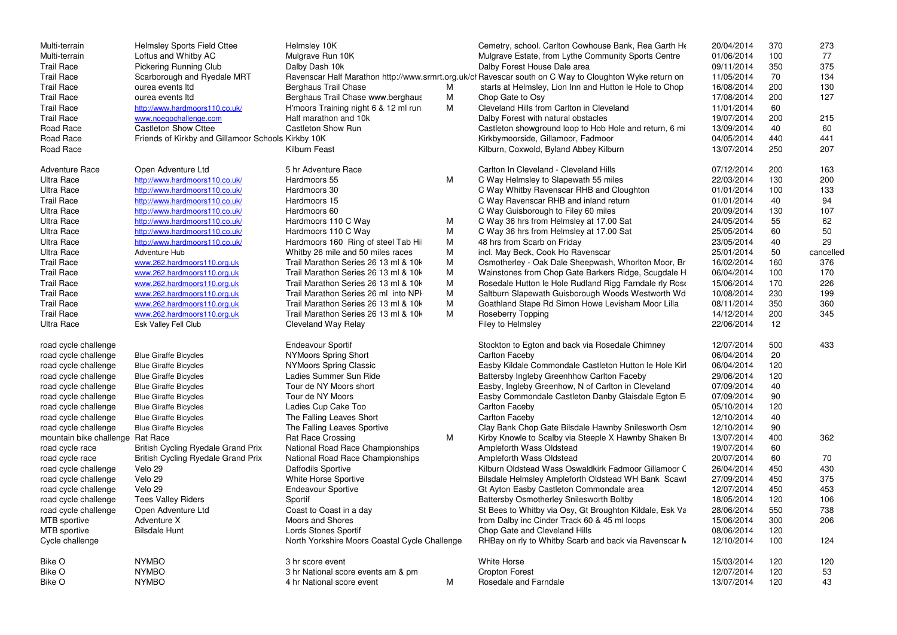| Multi-terrain           | <b>Helmsley Sports Field Cttee</b>                 | Helmsley 10K                                  |   | Cemetry, school. Carlton Cowhouse Bank, Rea Garth He                                                   | 20/04/2014 | 370 | 273       |
|-------------------------|----------------------------------------------------|-----------------------------------------------|---|--------------------------------------------------------------------------------------------------------|------------|-----|-----------|
| Multi-terrain           | Loftus and Whitby AC                               | Mulgrave Run 10K                              |   | Mulgrave Estate, from Lythe Community Sports Centre                                                    | 01/06/2014 | 100 | 77        |
| <b>Trail Race</b>       | <b>Pickering Running Club</b>                      | Dalby Dash 10k                                |   | Dalby Forest House Dale area                                                                           | 09/11/2014 | 350 | 375       |
| <b>Trail Race</b>       | Scarborough and Ryedale MRT                        |                                               |   | Ravenscar Half Marathon http://www.srmrt.org.uk/cl Ravescar south on C Way to Cloughton Wyke return on | 11/05/2014 | 70  | 134       |
| <b>Trail Race</b>       | ourea events Itd                                   | <b>Berghaus Trail Chase</b>                   | M | starts at Helmsley, Lion Inn and Hutton le Hole to Chop                                                | 16/08/2014 | 200 | 130       |
| <b>Trail Race</b>       | ourea events Itd                                   | Berghaus Trail Chase www.berghaus             | M | Chop Gate to Osy                                                                                       | 17/08/2014 | 200 | 127       |
| <b>Trail Race</b>       | http://www.hardmoors110.co.uk/                     | H'moors Training night 6 & 12 ml run          | M | Cleveland Hills from Carlton in Cleveland                                                              | 11/01/2014 | 60  |           |
| <b>Trail Race</b>       | www.noegochallenge.com                             | Half marathon and 10k                         |   | Dalby Forest with natural obstacles                                                                    | 19/07/2014 | 200 | 215       |
| Road Race               | <b>Castleton Show Cttee</b>                        | <b>Castleton Show Run</b>                     |   | Castleton showground loop to Hob Hole and return, 6 mi                                                 | 13/09/2014 | 40  | 60        |
| Road Race               | Friends of Kirkby and Gillamoor Schools Kirkby 10K |                                               |   | Kirkbymoorside, Gillamoor, Fadmoor                                                                     | 04/05/2014 | 440 | 441       |
| Road Race               |                                                    | Kilburn Feast                                 |   | Kilburn, Coxwold, Byland Abbey Kilburn                                                                 | 13/07/2014 | 250 | 207       |
| <b>Adventure Race</b>   | Open Adventure Ltd                                 | 5 hr Adventure Race                           |   | Carlton In Cleveland - Cleveland Hills                                                                 | 07/12/2014 | 200 | 163       |
| <b>Ultra Race</b>       | http://www.hardmoors110.co.uk/                     | Hardmoors 55                                  | M | C Way Helmsley to Slapewath 55 miles                                                                   | 22/03/2014 | 130 | 200       |
| <b>Ultra Race</b>       | http://www.hardmoors110.co.uk/                     | Hardmoors 30                                  |   | C Way Whitby Ravenscar RHB and Cloughton                                                               | 01/01/2014 | 100 | 133       |
| <b>Trail Race</b>       | http://www.hardmoors110.co.uk/                     | Hardmoors 15                                  |   | C Way Ravenscar RHB and inland return                                                                  | 01/01/2014 | 40  | 94        |
| <b>Ultra Race</b>       | http://www.hardmoors110.co.uk/                     | Hardmoors 60                                  |   | C Way Guisborough to Filey 60 miles                                                                    | 20/09/2014 | 130 | 107       |
| <b>Ultra Race</b>       | http://www.hardmoors110.co.uk/                     | Hardmoors 110 C Way                           | M | C Way 36 hrs from Helmsley at 17.00 Sat                                                                | 24/05/2014 | 55  | 62        |
| <b>Ultra Race</b>       | http://www.hardmoors110.co.uk/                     | Hardmoors 110 C Way                           | M | C Way 36 hrs from Helmsley at 17.00 Sat                                                                | 25/05/2014 | 60  | 50        |
| <b>Ultra Race</b>       | http://www.hardmoors110.co.uk/                     | Hardmoors 160 Ring of steel Tab Hil           | M | 48 hrs from Scarb on Friday                                                                            | 23/05/2014 | 40  | 29        |
| <b>Ultra Race</b>       | Adventure Hub                                      | Whitby 26 mile and 50 miles races             | M | incl. May Beck, Cook Ho Ravenscar                                                                      | 25/01/2014 | 50  | cancelled |
| <b>Trail Race</b>       | www.262.hardmoors110.org.uk                        | Trail Marathon Series 26 13 ml & 10k          | M | Osmotherley - Oak Dale Sheepwash, Whorlton Moor, Br                                                    | 16/02/2014 | 160 | 376       |
| <b>Trail Race</b>       | www.262.hardmoors110.org.uk                        | Trail Marathon Series 26 13 ml & 10k          | M | Wainstones from Chop Gate Barkers Ridge, Scugdale H                                                    | 06/04/2014 | 100 | 170       |
| <b>Trail Race</b>       | www.262.hardmoors110.org.uk                        | Trail Marathon Series 26 13 ml & 10k          | M | Rosedale Hutton le Hole Rudland Rigg Farndale rly Rose                                                 | 15/06/2014 | 170 | 226       |
| <b>Trail Race</b>       | www.262.hardmoors110.org.uk                        | Trail Marathon Series 26 ml into NPI          | M | Saltburn Slapewath Guisborough Woods Westworth Wd                                                      | 10/08/2014 | 230 | 199       |
| <b>Trail Race</b>       | www.262.hardmoors110.org.uk                        | Trail Marathon Series 26 13 ml & 10k          | M | Goathland Stape Rd Simon Howe Levisham Moor Lilla                                                      | 08/11/2014 | 350 | 360       |
|                         |                                                    |                                               | M |                                                                                                        |            |     |           |
| <b>Trail Race</b>       | www.262.hardmoors110.org.uk                        | Trail Marathon Series 26 13 ml & 10k          |   | <b>Roseberry Topping</b>                                                                               | 14/12/2014 | 200 | 345       |
| <b>Ultra Race</b>       | Esk Valley Fell Club                               | <b>Cleveland Way Relay</b>                    |   | Filey to Helmsley                                                                                      | 22/06/2014 | 12  |           |
| road cycle challenge    |                                                    | <b>Endeavour Sportif</b>                      |   | Stockton to Egton and back via Rosedale Chimney                                                        | 12/07/2014 | 500 | 433       |
| road cycle challenge    | <b>Blue Giraffe Bicycles</b>                       | <b>NYMoors Spring Short</b>                   |   | Carlton Faceby                                                                                         | 06/04/2014 | 20  |           |
| road cycle challenge    | <b>Blue Giraffe Bicycles</b>                       | <b>NYMoors Spring Classic</b>                 |   | Easby Kildale Commondale Castleton Hutton le Hole Kirl                                                 | 06/04/2014 | 120 |           |
| road cycle challenge    | <b>Blue Giraffe Bicycles</b>                       | Ladies Summer Sun Ride                        |   | Battersby Ingleby Greenhhow Carlton Faceby                                                             | 29/06/2014 | 120 |           |
| road cycle challenge    | <b>Blue Giraffe Bicycles</b>                       | Tour de NY Moors short                        |   | Easby, Ingleby Greenhow, N of Carlton in Cleveland                                                     | 07/09/2014 | 40  |           |
| road cycle challenge    | <b>Blue Giraffe Bicycles</b>                       | Tour de NY Moors                              |   | Easby Commondale Castleton Danby Glaisdale Egton E                                                     | 07/09/2014 | 90  |           |
| road cycle challenge    | <b>Blue Giraffe Bicycles</b>                       | Ladies Cup Cake Too                           |   | Carlton Faceby                                                                                         | 05/10/2014 | 120 |           |
| road cycle challenge    | <b>Blue Giraffe Bicycles</b>                       | The Falling Leaves Short                      |   | <b>Carlton Faceby</b>                                                                                  | 12/10/2014 | 40  |           |
| road cycle challenge    | <b>Blue Giraffe Bicycles</b>                       | The Falling Leaves Sportive                   |   | Clay Bank Chop Gate Bilsdale Hawnby Snilesworth Osm                                                    | 12/10/2014 | 90  |           |
| mountain bike challenge | <b>Rat Race</b>                                    | <b>Rat Race Crossing</b>                      | M | Kirby Knowle to Scalby via Steeple X Hawnby Shaken Br                                                  | 13/07/2014 | 400 | 362       |
| road cycle race         | <b>British Cycling Ryedale Grand Prix</b>          | National Road Race Championships              |   | Ampleforth Wass Oldstead                                                                               | 19/07/2014 | 60  |           |
| road cycle race         | <b>British Cycling Ryedale Grand Prix</b>          | National Road Race Championships              |   | Ampleforth Wass Oldstead                                                                               | 20/07/2014 | 60  | 70        |
| road cycle challenge    | Velo 29                                            | <b>Daffodils Sportive</b>                     |   | Kilburn Oldstead Wass Oswaldkirk Fadmoor Gillamoor C                                                   | 26/04/2014 | 450 | 430       |
| road cycle challenge    | Velo 29                                            | <b>White Horse Sportive</b>                   |   | Bilsdale Helmsley Ampleforth Oldstead WH Bank Scawl                                                    | 27/09/2014 | 450 | 375       |
| road cycle challenge    | Velo 29                                            | <b>Endeavour Sportive</b>                     |   | Gt Ayton Easby Castleton Commondale area                                                               | 12/07/2014 | 450 | 453       |
| road cycle challenge    | <b>Tees Valley Riders</b>                          | Sportif                                       |   | <b>Battersby Osmotherley Snilesworth Boltby</b>                                                        | 18/05/2014 | 120 | 106       |
| road cycle challenge    | Open Adventure Ltd                                 | Coast to Coast in a day                       |   | St Bees to Whitby via Osy, Gt Broughton Kildale, Esk Va                                                | 28/06/2014 | 550 | 738       |
|                         | Adventure X                                        | Moors and Shores                              |   |                                                                                                        |            |     |           |
| MTB sportive            |                                                    |                                               |   | from Dalby inc Cinder Track 60 & 45 ml loops                                                           | 15/06/2014 | 300 | 206       |
| MTB sportive            | <b>Bilsdale Hunt</b>                               | Lords Stones Sportif                          |   | Chop Gate and Cleveland Hills                                                                          | 08/06/2014 | 120 |           |
| Cycle challenge         |                                                    | North Yorkshire Moors Coastal Cycle Challenge |   | RHBay on rly to Whitby Scarb and back via Ravenscar N                                                  | 12/10/2014 | 100 | 124       |
| Bike O                  | <b>NYMBO</b>                                       | 3 hr score event                              |   | <b>White Horse</b>                                                                                     | 15/03/2014 | 120 | 120       |
| <b>Bike O</b>           | <b>NYMBO</b>                                       | 3 hr National score events am & pm            |   | <b>Cropton Forest</b>                                                                                  | 12/07/2014 | 120 | 53        |
| Bike O                  | <b>NYMBO</b>                                       | 4 hr National score event                     | M | Rosedale and Farndale                                                                                  | 13/07/2014 | 120 | 43        |
|                         |                                                    |                                               |   |                                                                                                        |            |     |           |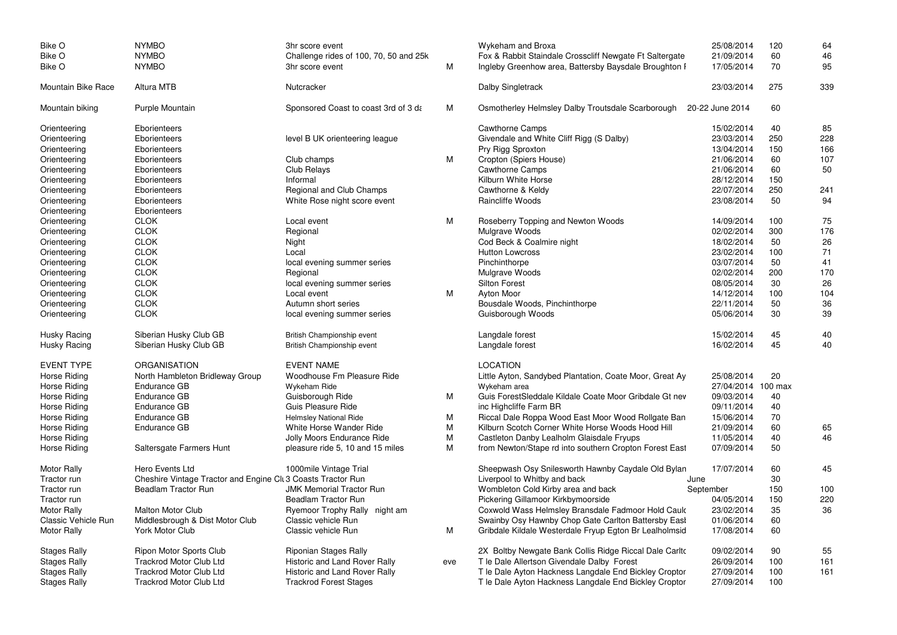| <b>Bike O</b>              | <b>NYMBO</b>                                                 | 3hr score event                        |     | Wykeham and Broxa                                       | 25/08/2014         | 120 | 64  |
|----------------------------|--------------------------------------------------------------|----------------------------------------|-----|---------------------------------------------------------|--------------------|-----|-----|
| Bike O                     | <b>NYMBO</b>                                                 | Challenge rides of 100, 70, 50 and 25k |     | Fox & Rabbit Staindale Crosscliff Newgate Ft Saltergate | 21/09/2014         | 60  | 46  |
| Bike O                     | <b>NYMBO</b>                                                 | 3hr score event                        | M   | Ingleby Greenhow area, Battersby Baysdale Broughton I   | 17/05/2014         | 70  | 95  |
| Mountain Bike Race         | <b>Altura MTB</b>                                            | Nutcracker                             |     | Dalby Singletrack                                       | 23/03/2014         | 275 | 339 |
| Mountain biking            | Purple Mountain                                              | Sponsored Coast to coast 3rd of 3 da   | M   | Osmotherley Helmsley Dalby Troutsdale Scarborough       | 20-22 June 2014    | 60  |     |
| Orienteering               | Eborienteers                                                 |                                        |     | <b>Cawthorne Camps</b>                                  | 15/02/2014         | 40  | 85  |
| Orienteering               | Eborienteers                                                 | level B UK orienteering league         |     | Givendale and White Cliff Rigg (S Dalby)                | 23/03/2014         | 250 | 228 |
| Orienteering               | Eborienteers                                                 |                                        |     | Pry Rigg Sproxton                                       | 13/04/2014         | 150 | 166 |
| Orienteering               | Eborienteers                                                 | Club champs                            | M   | Cropton (Spiers House)                                  | 21/06/2014         | 60  | 107 |
| Orienteering               | Eborienteers                                                 | <b>Club Relays</b>                     |     | <b>Cawthorne Camps</b>                                  | 21/06/2014         | 60  | 50  |
| Orienteering               | Eborienteers                                                 | Informal                               |     | Kilburn White Horse                                     | 28/12/2014         | 150 |     |
| Orienteering               | Eborienteers                                                 | Regional and Club Champs               |     | Cawthorne & Keldy                                       | 22/07/2014         | 250 | 241 |
| Orienteering               | Eborienteers                                                 | White Rose night score event           |     | Raincliffe Woods                                        | 23/08/2014         | 50  | 94  |
| Orienteering               | Eborienteers                                                 |                                        |     |                                                         |                    |     |     |
| Orienteering               | <b>CLOK</b>                                                  | Local event                            | M   | Roseberry Topping and Newton Woods                      | 14/09/2014         | 100 | 75  |
| Orienteering               | <b>CLOK</b>                                                  | Regional                               |     | Mulgrave Woods                                          | 02/02/2014         | 300 | 176 |
| Orienteering               | <b>CLOK</b>                                                  | Night                                  |     | Cod Beck & Coalmire night                               | 18/02/2014         | 50  | 26  |
| Orienteering               | <b>CLOK</b>                                                  | Local                                  |     | <b>Hutton Lowcross</b>                                  | 23/02/2014         | 100 | 71  |
| Orienteering               | <b>CLOK</b>                                                  | local evening summer series            |     | Pinchinthorpe                                           | 03/07/2014         | 50  | 41  |
| Orienteering               | <b>CLOK</b>                                                  | Regional                               |     | Mulgrave Woods                                          | 02/02/2014         | 200 | 170 |
| Orienteering               | <b>CLOK</b>                                                  | local evening summer series            |     | <b>Silton Forest</b>                                    | 08/05/2014         | 30  | 26  |
| Orienteering               | <b>CLOK</b>                                                  | Local event                            | М   | <b>Ayton Moor</b>                                       | 14/12/2014         | 100 | 104 |
| Orienteering               | <b>CLOK</b>                                                  | Autumn short series                    |     | Bousdale Woods, Pinchinthorpe                           | 22/11/2014         | 50  | 36  |
| Orienteering               | <b>CLOK</b>                                                  | local evening summer series            |     | Guisborough Woods                                       | 05/06/2014         | 30  | 39  |
| <b>Husky Racing</b>        | Siberian Husky Club GB                                       | British Championship event             |     | Langdale forest                                         | 15/02/2014         | 45  | 40  |
| <b>Husky Racing</b>        | Siberian Husky Club GB                                       | British Championship event             |     | Langdale forest                                         | 16/02/2014         | 45  | 40  |
| <b>EVENT TYPE</b>          | <b>ORGANISATION</b>                                          | <b>EVENT NAME</b>                      |     | <b>LOCATION</b>                                         |                    |     |     |
| Horse Riding               | North Hambleton Bridleway Group                              | Woodhouse Fm Pleasure Ride             |     | Little Ayton, Sandybed Plantation, Coate Moor, Great Ay | 25/08/2014         | 20  |     |
| Horse Riding               | Endurance GB                                                 | Wykeham Ride                           |     | Wykeham area                                            | 27/04/2014 100 max |     |     |
| Horse Riding               | <b>Endurance GB</b>                                          | Guisborough Ride                       | M   | Guis Forest Sleddale Kildale Coate Moor Gribdale Gt nev | 09/03/2014         | 40  |     |
| Horse Riding               | <b>Endurance GB</b>                                          | <b>Guis Pleasure Ride</b>              |     | inc Highcliffe Farm BR                                  | 09/11/2014         | 40  |     |
| Horse Riding               | <b>Endurance GB</b>                                          | Helmsley National Ride                 | M   | Riccal Dale Roppa Wood East Moor Wood Rollgate Ban      | 15/06/2014         | 70  |     |
| Horse Riding               | <b>Endurance GB</b>                                          | White Horse Wander Ride                | M   | Kilburn Scotch Corner White Horse Woods Hood Hill       | 21/09/2014         | 60  | 65  |
| Horse Riding               |                                                              | Jolly Moors Endurance Ride             | M   | Castleton Danby Lealholm Glaisdale Fryups               | 11/05/2014         | 40  | 46  |
| Horse Riding               | Saltersgate Farmers Hunt                                     | pleasure ride 5, 10 and 15 miles       | M   | from Newton/Stape rd into southern Cropton Forest East  | 07/09/2014         | 50  |     |
| <b>Motor Rally</b>         | Hero Events Ltd                                              | 1000mile Vintage Trial                 |     | Sheepwash Osy Snilesworth Hawnby Caydale Old Bylan      | 17/07/2014         | 60  | 45  |
| Tractor run                | Cheshire Vintage Tractor and Engine Clu 3 Coasts Tractor Run |                                        |     | Liverpool to Whitby and back<br>June                    |                    | 30  |     |
| Tractor run                | <b>Beadlam Tractor Run</b>                                   | <b>JMK Memorial Tractor Run</b>        |     | Wombleton Cold Kirby area and back                      | September          | 150 | 100 |
| Tractor run                |                                                              | <b>Beadlam Tractor Run</b>             |     | Pickering Gillamoor Kirkbymoorside                      | 04/05/2014         | 150 | 220 |
| <b>Motor Rally</b>         | <b>Malton Motor Club</b>                                     | Ryemoor Trophy Rally night am          |     | Coxwold Wass Helmsley Bransdale Fadmoor Hold Caulc      | 23/02/2014         | 35  | 36  |
| <b>Classic Vehicle Run</b> | Middlesbrough & Dist Motor Club                              | Classic vehicle Run                    |     | Swainby Osy Hawnby Chop Gate Carlton Battersby Easl     | 01/06/2014         | 60  |     |
| <b>Motor Rally</b>         | York Motor Club                                              | Classic vehicle Run                    | М   | Gribdale Kildale Westerdale Fryup Egton Br Lealholmsid  | 17/08/2014         | 60  |     |
| <b>Stages Rally</b>        | <b>Ripon Motor Sports Club</b>                               | <b>Riponian Stages Rally</b>           |     | 2X Boltby Newgate Bank Collis Ridge Riccal Dale Carlto  | 09/02/2014         | 90  | 55  |
| <b>Stages Rally</b>        | <b>Trackrod Motor Club Ltd</b>                               | Historic and Land Rover Rally          | eve | T le Dale Allertson Givendale Dalby Forest              | 26/09/2014         | 100 | 161 |
| <b>Stages Rally</b>        | <b>Trackrod Motor Club Ltd</b>                               | Historic and Land Rover Rally          |     | T le Dale Ayton Hackness Langdale End Bickley Croptor   | 27/09/2014         | 100 | 161 |
| <b>Stages Rally</b>        | <b>Trackrod Motor Club Ltd</b>                               | <b>Trackrod Forest Stages</b>          |     | T le Dale Ayton Hackness Langdale End Bickley Croptor   | 27/09/2014         | 100 |     |
|                            |                                                              |                                        |     |                                                         |                    |     |     |